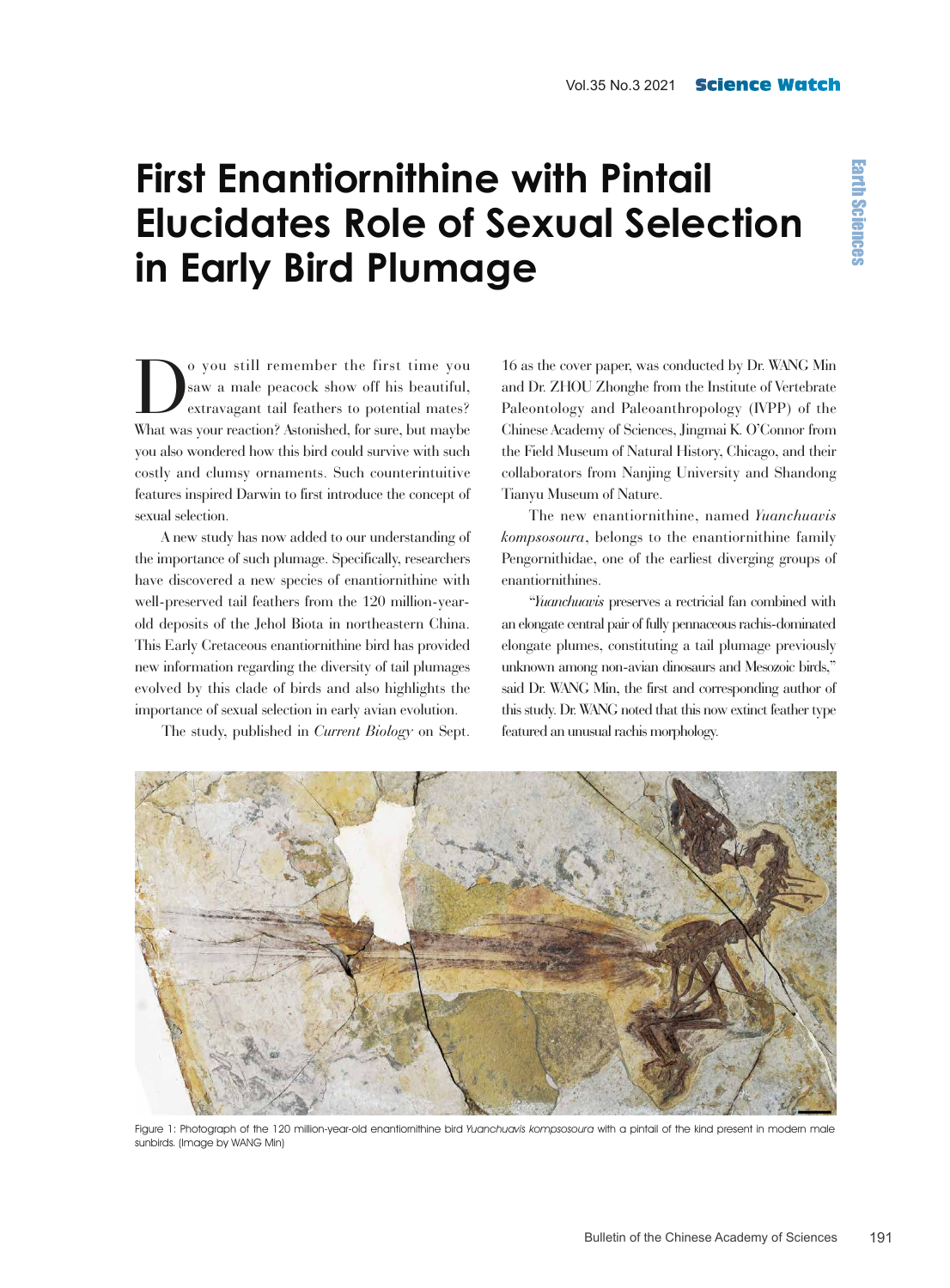## **First Enantiornithine with Pintail Elucidates Role of Sexual Selection in Early Bird Plumage**

O you still remember the first time you<br>saw a male peacock show off his beautiful,<br>extravagant tail feathers to potential mates? saw a male peacock show off his beautiful, extravagant tail feathers to potential mates? What was your reaction? Astonished, for sure, but maybe you also wondered how this bird could survive with such costly and clumsy ornaments. Such counterintuitive features inspired Darwin to first introduce the concept of sexual selection.

A new study has now added to our understanding of the importance of such plumage. Specifically, researchers have discovered a new species of enantiornithine with well-preserved tail feathers from the 120 million-yearold deposits of the Jehol Biota in northeastern China. This Early Cretaceous enantiornithine bird has provided new information regarding the diversity of tail plumages evolved by this clade of birds and also highlights the importance of sexual selection in early avian evolution.

The study, published in *Current Biology* on Sept.

16 as the cover paper, was conducted by Dr. WANG Min and Dr. ZHOU Zhonghe from the Institute of Vertebrate Paleontology and Paleoanthropology (IVPP) of the Chinese Academy of Sciences, Jingmai K. O'Connor from the Field Museum of Natural History, Chicago, and their collaborators from Nanjing University and Shandong Tianyu Museum of Nature.

The new enantiornithine, named *Yuanchuavis kompsosoura*, belongs to the enantiornithine family Pengornithidae, one of the earliest diverging groups of enantiornithines.

"*Yuanchuavis* preserves a rectricial fan combined with an elongate central pair of fully pennaceous rachis-dominated elongate plumes, constituting a tail plumage previously unknown among non-avian dinosaurs and Mesozoic birds," said Dr. WANG Min, the first and corresponding author of this study. Dr. WANG noted that this now extinct feather type featured an unusual rachis morphology.



Figure 1: Photograph of the 120 million-year-old enantiornithine bird Yuanchuavis kompsosoura with a pintail of the kind present in modern male sunbirds. (Image by WANG Min)